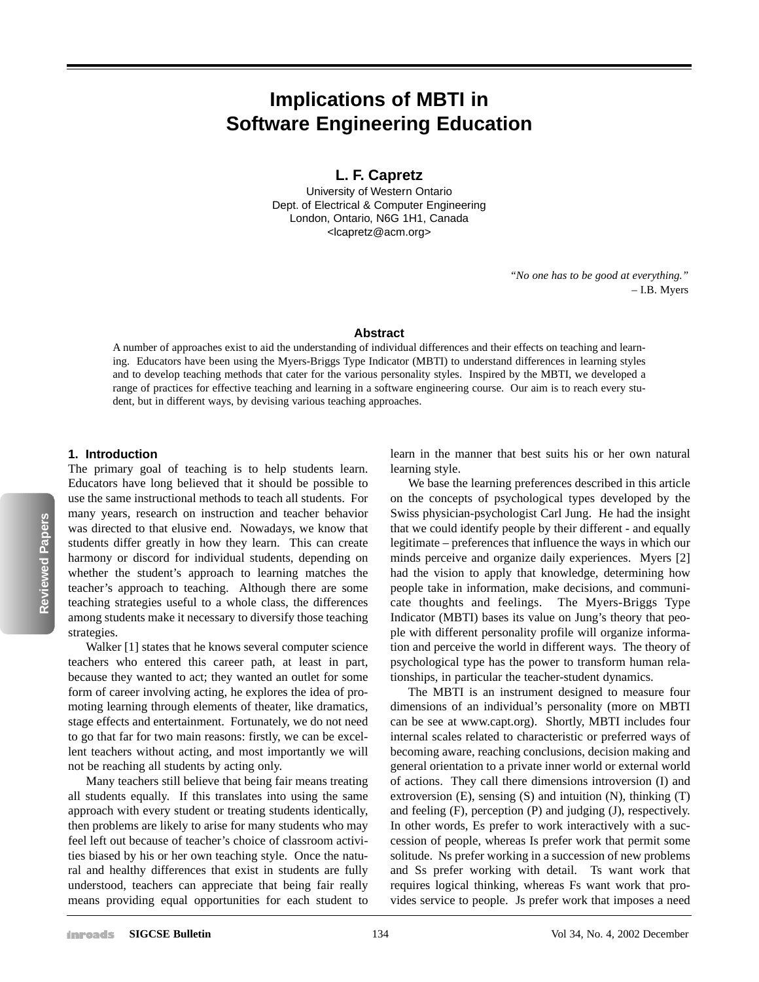# **Implications of MBTI in Software Engineering Education**

**L. F. Capretz**

University of Western Ontario Dept. of Electrical & Computer Engineering London, Ontario, N6G 1H1, Canada <lcapretz@acm.org>

> *"No one has to be good at everything."* – I.B. Myers

#### **Abstract**

A number of approaches exist to aid the understanding of individual differences and their effects on teaching and learning. Educators have been using the Myers-Briggs Type Indicator (MBTI) to understand differences in learning styles and to develop teaching methods that cater for the various personality styles. Inspired by the MBTI, we developed a range of practices for effective teaching and learning in a software engineering course. Our aim is to reach every student, but in different ways, by devising various teaching approaches.

# **1. Introduction**

The primary goal of teaching is to help students learn. Educators have long believed that it should be possible to use the same instructional methods to teach all students. For many years, research on instruction and teacher behavior was directed to that elusive end. Nowadays, we know that students differ greatly in how they learn. This can create harmony or discord for individual students, depending on whether the student's approach to learning matches the teacher's approach to teaching. Although there are some teaching strategies useful to a whole class, the differences among students make it necessary to diversify those teaching strategies.

Walker [1] states that he knows several computer science teachers who entered this career path, at least in part, because they wanted to act; they wanted an outlet for some form of career involving acting, he explores the idea of promoting learning through elements of theater, like dramatics, stage effects and entertainment. Fortunately, we do not need to go that far for two main reasons: firstly, we can be excellent teachers without acting, and most importantly we will not be reaching all students by acting only.

Many teachers still believe that being fair means treating all students equally. If this translates into using the same approach with every student or treating students identically, then problems are likely to arise for many students who may feel left out because of teacher's choice of classroom activities biased by his or her own teaching style. Once the natural and healthy differences that exist in students are fully understood, teachers can appreciate that being fair really means providing equal opportunities for each student to learn in the manner that best suits his or her own natural learning style.

We base the learning preferences described in this article on the concepts of psychological types developed by the Swiss physician-psychologist Carl Jung. He had the insight that we could identify people by their different - and equally legitimate – preferences that influence the ways in which our minds perceive and organize daily experiences. Myers [2] had the vision to apply that knowledge, determining how people take in information, make decisions, and communicate thoughts and feelings. The Myers-Briggs Type Indicator (MBTI) bases its value on Jung's theory that people with different personality profile will organize information and perceive the world in different ways. The theory of psychological type has the power to transform human relationships, in particular the teacher-student dynamics.

The MBTI is an instrument designed to measure four dimensions of an individual's personality (more on MBTI can be see at www.capt.org). Shortly, MBTI includes four internal scales related to characteristic or preferred ways of becoming aware, reaching conclusions, decision making and general orientation to a private inner world or external world of actions. They call there dimensions introversion (I) and extroversion (E), sensing (S) and intuition (N), thinking (T) and feeling (F), perception (P) and judging (J), respectively. In other words, Es prefer to work interactively with a succession of people, whereas Is prefer work that permit some solitude. Ns prefer working in a succession of new problems and Ss prefer working with detail. Ts want work that requires logical thinking, whereas Fs want work that provides service to people. Js prefer work that imposes a need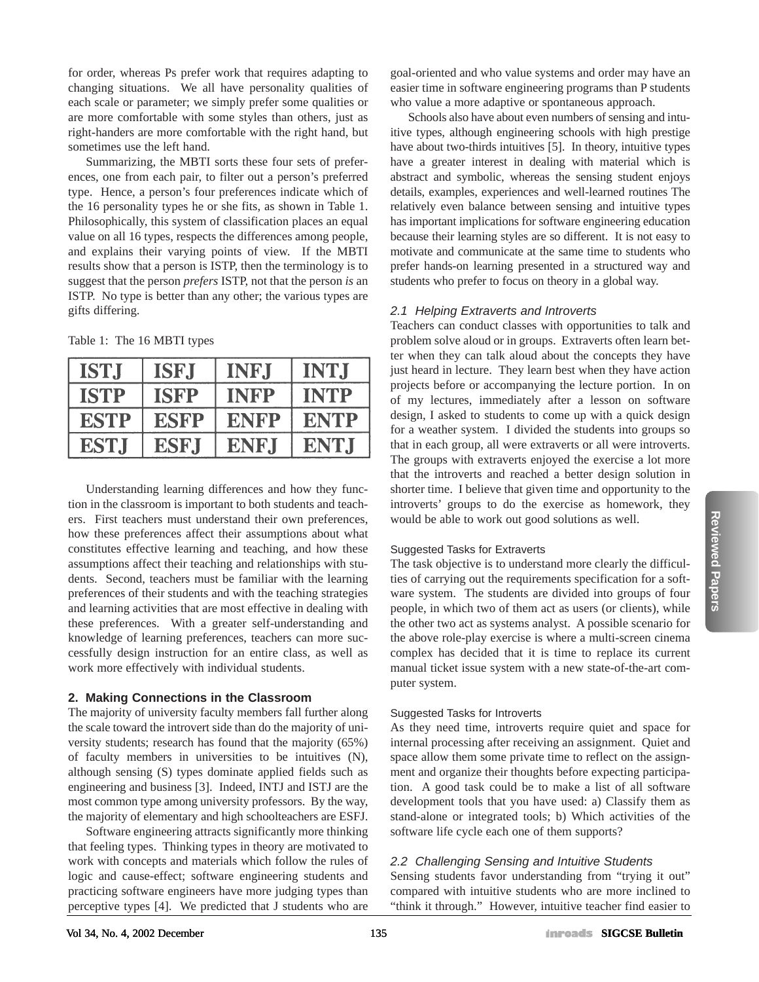for order, whereas Ps prefer work that requires adapting to changing situations. We all have personality qualities of each scale or parameter; we simply prefer some qualities or are more comfortable with some styles than others, just as right-handers are more comfortable with the right hand, but sometimes use the left hand.

Summarizing, the MBTI sorts these four sets of preferences, one from each pair, to filter out a person's preferred type. Hence, a person's four preferences indicate which of the 16 personality types he or she fits, as shown in Table 1. Philosophically, this system of classification places an equal value on all 16 types, respects the differences among people, and explains their varying points of view. If the MBTI results show that a person is ISTP, then the terminology is to suggest that the person *prefers* ISTP, not that the person *is* an ISTP. No type is better than any other; the various types are gifts differing.

| <b>ISTJ</b> | <b>ISFJ</b> | <b>INF.J</b> | <b>INT.J</b> |
|-------------|-------------|--------------|--------------|
| <b>ISTP</b> | <b>ISFP</b> | INFP         | <b>INTP</b>  |
| ESTP        | <b>ESFP</b> | <b>ENFP</b>  | <b>ENTP</b>  |
| EST.J       | ESF.J       | ENF.         | ENT.         |

Understanding learning differences and how they function in the classroom is important to both students and teachers. First teachers must understand their own preferences, how these preferences affect their assumptions about what constitutes effective learning and teaching, and how these assumptions affect their teaching and relationships with students. Second, teachers must be familiar with the learning preferences of their students and with the teaching strategies and learning activities that are most effective in dealing with these preferences. With a greater self-understanding and knowledge of learning preferences, teachers can more successfully design instruction for an entire class, as well as work more effectively with individual students.

# **2. Making Connections in the Classroom**

The majority of university faculty members fall further along the scale toward the introvert side than do the majority of university students; research has found that the majority (65%) of faculty members in universities to be intuitives (N), although sensing (S) types dominate applied fields such as engineering and business [3]. Indeed, INTJ and ISTJ are the most common type among university professors. By the way, the majority of elementary and high schoolteachers are ESFJ.

Software engineering attracts significantly more thinking that feeling types. Thinking types in theory are motivated to work with concepts and materials which follow the rules of logic and cause-effect; software engineering students and practicing software engineers have more judging types than perceptive types [4]. We predicted that J students who are goal-oriented and who value systems and order may have an easier time in software engineering programs than P students who value a more adaptive or spontaneous approach.

Schools also have about even numbers of sensing and intuitive types, although engineering schools with high prestige have about two-thirds intuitives [5]. In theory, intuitive types have a greater interest in dealing with material which is abstract and symbolic, whereas the sensing student enjoys details, examples, experiences and well-learned routines The relatively even balance between sensing and intuitive types has important implications for software engineering education because their learning styles are so different. It is not easy to motivate and communicate at the same time to students who prefer hands-on learning presented in a structured way and students who prefer to focus on theory in a global way.

### *2.1 Helping Extraverts and Introverts*

Teachers can conduct classes with opportunities to talk and problem solve aloud or in groups. Extraverts often learn better when they can talk aloud about the concepts they have just heard in lecture. They learn best when they have action projects before or accompanying the lecture portion. In on of my lectures, immediately after a lesson on software design, I asked to students to come up with a quick design for a weather system. I divided the students into groups so that in each group, all were extraverts or all were introverts. The groups with extraverts enjoyed the exercise a lot more that the introverts and reached a better design solution in shorter time. I believe that given time and opportunity to the introverts' groups to do the exercise as homework, they would be able to work out good solutions as well.

#### Suggested Tasks for Extraverts

The task objective is to understand more clearly the difficulties of carrying out the requirements specification for a software system. The students are divided into groups of four people, in which two of them act as users (or clients), while the other two act as systems analyst. A possible scenario for the above role-play exercise is where a multi-screen cinema complex has decided that it is time to replace its current manual ticket issue system with a new state-of-the-art computer system.

#### Suggested Tasks for Introverts

As they need time, introverts require quiet and space for internal processing after receiving an assignment. Quiet and space allow them some private time to reflect on the assignment and organize their thoughts before expecting participation. A good task could be to make a list of all software development tools that you have used: a) Classify them as stand-alone or integrated tools; b) Which activities of the software life cycle each one of them supports?

#### *2.2 Challenging Sensing and Intuitive Students*

Sensing students favor understanding from "trying it out" compared with intuitive students who are more inclined to "think it through." However, intuitive teacher find easier to Reviewed Papers **Reviewed Papers**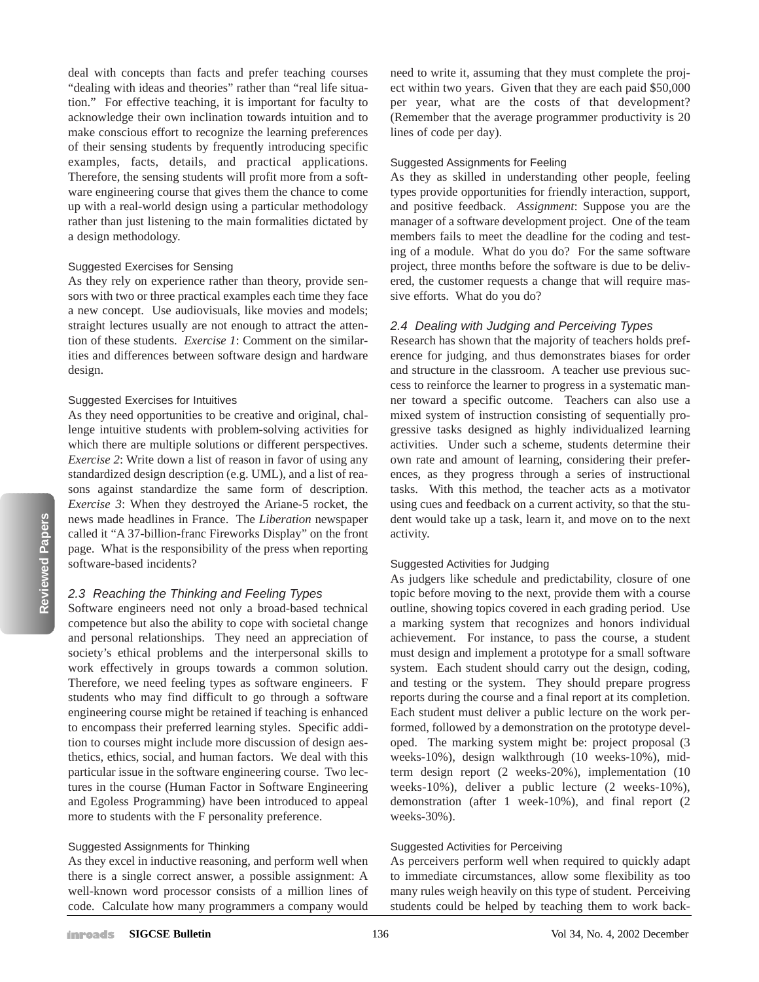deal with concepts than facts and prefer teaching courses "dealing with ideas and theories" rather than "real life situation." For effective teaching, it is important for faculty to acknowledge their own inclination towards intuition and to make conscious effort to recognize the learning preferences of their sensing students by frequently introducing specific examples, facts, details, and practical applications. Therefore, the sensing students will profit more from a software engineering course that gives them the chance to come up with a real-world design using a particular methodology rather than just listening to the main formalities dictated by a design methodology.

#### Suggested Exercises for Sensing

As they rely on experience rather than theory, provide sensors with two or three practical examples each time they face a new concept. Use audiovisuals, like movies and models; straight lectures usually are not enough to attract the attention of these students. *Exercise 1*: Comment on the similarities and differences between software design and hardware design.

#### Suggested Exercises for Intuitives

As they need opportunities to be creative and original, challenge intuitive students with problem-solving activities for which there are multiple solutions or different perspectives. *Exercise 2*: Write down a list of reason in favor of using any standardized design description (e.g. UML), and a list of reasons against standardize the same form of description. *Exercise 3*: When they destroyed the Ariane-5 rocket, the news made headlines in France. The *Liberation* newspaper called it "A 37-billion-franc Fireworks Display" on the front page. What is the responsibility of the press when reporting software-based incidents?

# *2.3 Reaching the Thinking and Feeling Types*

Software engineers need not only a broad-based technical competence but also the ability to cope with societal change and personal relationships. They need an appreciation of society's ethical problems and the interpersonal skills to work effectively in groups towards a common solution. Therefore, we need feeling types as software engineers. F students who may find difficult to go through a software engineering course might be retained if teaching is enhanced to encompass their preferred learning styles. Specific addition to courses might include more discussion of design aesthetics, ethics, social, and human factors. We deal with this particular issue in the software engineering course. Two lectures in the course (Human Factor in Software Engineering and Egoless Programming) have been introduced to appeal more to students with the F personality preference.

# Suggested Assignments for Thinking

As they excel in inductive reasoning, and perform well when there is a single correct answer, a possible assignment: A well-known word processor consists of a million lines of code. Calculate how many programmers a company would need to write it, assuming that they must complete the project within two years. Given that they are each paid \$50,000 per year, what are the costs of that development? (Remember that the average programmer productivity is 20 lines of code per day).

# Suggested Assignments for Feeling

As they as skilled in understanding other people, feeling types provide opportunities for friendly interaction, support, and positive feedback. *Assignment*: Suppose you are the manager of a software development project. One of the team members fails to meet the deadline for the coding and testing of a module. What do you do? For the same software project, three months before the software is due to be delivered, the customer requests a change that will require massive efforts. What do you do?

# *2.4 Dealing with Judging and Perceiving Types*

Research has shown that the majority of teachers holds preference for judging, and thus demonstrates biases for order and structure in the classroom. A teacher use previous success to reinforce the learner to progress in a systematic manner toward a specific outcome. Teachers can also use a mixed system of instruction consisting of sequentially progressive tasks designed as highly individualized learning activities. Under such a scheme, students determine their own rate and amount of learning, considering their preferences, as they progress through a series of instructional tasks. With this method, the teacher acts as a motivator using cues and feedback on a current activity, so that the student would take up a task, learn it, and move on to the next activity.

# Suggested Activities for Judging

As judgers like schedule and predictability, closure of one topic before moving to the next, provide them with a course outline, showing topics covered in each grading period. Use a marking system that recognizes and honors individual achievement. For instance, to pass the course, a student must design and implement a prototype for a small software system. Each student should carry out the design, coding, and testing or the system. They should prepare progress reports during the course and a final report at its completion. Each student must deliver a public lecture on the work performed, followed by a demonstration on the prototype developed. The marking system might be: project proposal (3 weeks-10%), design walkthrough (10 weeks-10%), midterm design report (2 weeks-20%), implementation (10 weeks-10%), deliver a public lecture (2 weeks-10%), demonstration (after 1 week-10%), and final report (2 weeks-30%).

# Suggested Activities for Perceiving

As perceivers perform well when required to quickly adapt to immediate circumstances, allow some flexibility as too many rules weigh heavily on this type of student. Perceiving students could be helped by teaching them to work back